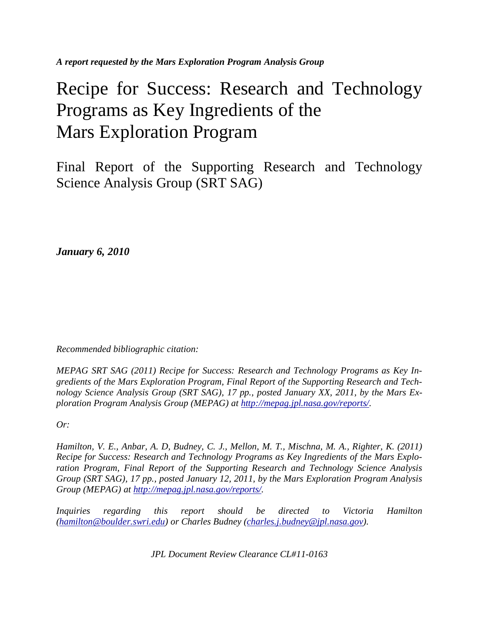*A report requested by the Mars Exploration Program Analysis Group* 

# Recipe for Success: Research and Technology Programs as Key Ingredients of the Mars Exploration Program

Final Report of the Supporting Research and Technology Science Analysis Group (SRT SAG)

*January 6, 2010* 

*Recommended bibliographic citation:* 

*MEPAG SRT SAG (2011) Recipe for Success: Research and Technology Programs as Key Ingredients of the Mars Exploration Program, Final Report of the Supporting Research and Technology Science Analysis Group (SRT SAG), 17 pp., posted January XX, 2011, by the Mars Exploration Program Analysis Group (MEPAG) at http://mepag.jpl.nasa.gov/reports/.* 

*Or:* 

*Hamilton, V. E., Anbar, A. D, Budney, C. J., Mellon, M. T., Mischna, M. A., Righter, K. (2011) Recipe for Success: Research and Technology Programs as Key Ingredients of the Mars Exploration Program, Final Report of the Supporting Research and Technology Science Analysis Group (SRT SAG), 17 pp., posted January 12, 2011, by the Mars Exploration Program Analysis Group (MEPAG) at http://mepag.jpl.nasa.gov/reports/.* 

*Inquiries regarding this report should be directed to Victoria Hamilton (hamilton@boulder.swri.edu) or Charles Budney (charles.j.budney@jpl.nasa.gov).* 

*JPL Document Review Clearance CL#11-0163*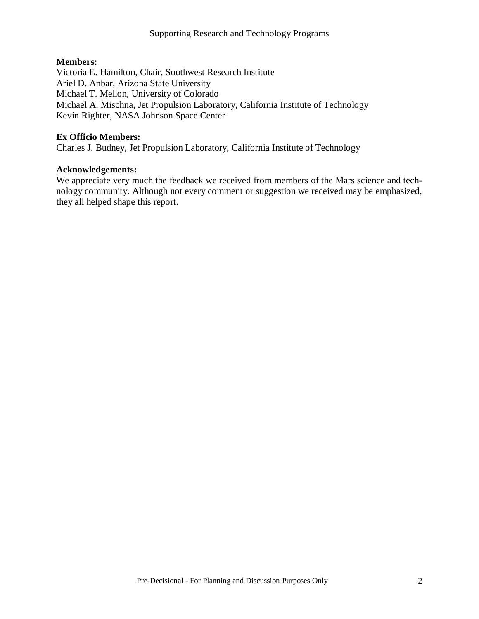# **Members:**

Victoria E. Hamilton, Chair, Southwest Research Institute Ariel D. Anbar, Arizona State University Michael T. Mellon, University of Colorado Michael A. Mischna, Jet Propulsion Laboratory, California Institute of Technology Kevin Righter, NASA Johnson Space Center

# **Ex Officio Members:**

Charles J. Budney, Jet Propulsion Laboratory, California Institute of Technology

# **Acknowledgements:**

We appreciate very much the feedback we received from members of the Mars science and technology community. Although not every comment or suggestion we received may be emphasized, they all helped shape this report.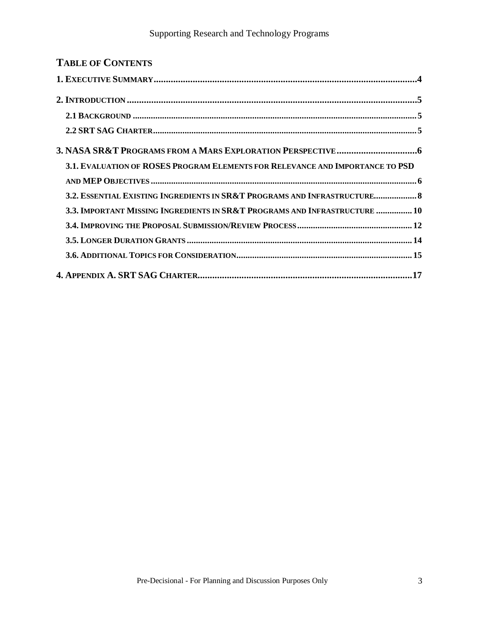| <b>TABLE OF CONTENTS</b>                                                      |
|-------------------------------------------------------------------------------|
|                                                                               |
|                                                                               |
|                                                                               |
|                                                                               |
|                                                                               |
| 3.1. EVALUATION OF ROSES PROGRAM ELEMENTS FOR RELEVANCE AND IMPORTANCE TO PSD |
|                                                                               |
| 3.2. ESSENTIAL EXISTING INGREDIENTS IN SR&T PROGRAMS AND INFRASTRUCTURE 8     |
| 3.3. IMPORTANT MISSING INGREDIENTS IN SR&T PROGRAMS AND INFRASTRUCTURE  10    |
|                                                                               |
|                                                                               |
|                                                                               |
|                                                                               |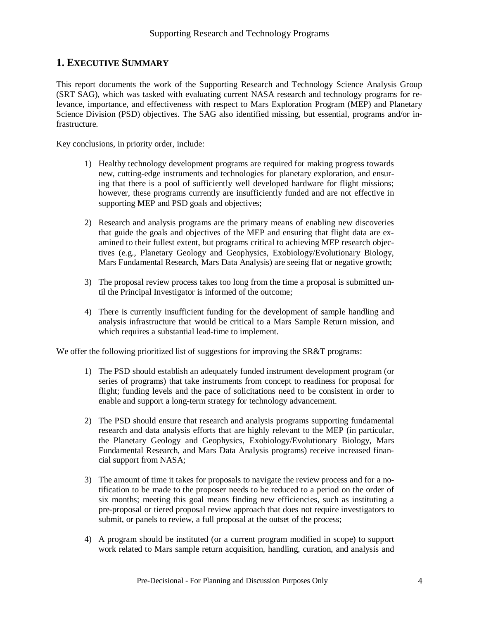# **1. EXECUTIVE SUMMARY**

This report documents the work of the Supporting Research and Technology Science Analysis Group (SRT SAG), which was tasked with evaluating current NASA research and technology programs for relevance, importance, and effectiveness with respect to Mars Exploration Program (MEP) and Planetary Science Division (PSD) objectives. The SAG also identified missing, but essential, programs and/or infrastructure.

Key conclusions, in priority order, include:

- 1) Healthy technology development programs are required for making progress towards new, cutting-edge instruments and technologies for planetary exploration, and ensuring that there is a pool of sufficiently well developed hardware for flight missions; however, these programs currently are insufficiently funded and are not effective in supporting MEP and PSD goals and objectives;
- 2) Research and analysis programs are the primary means of enabling new discoveries that guide the goals and objectives of the MEP and ensuring that flight data are examined to their fullest extent, but programs critical to achieving MEP research objectives (e.g., Planetary Geology and Geophysics, Exobiology/Evolutionary Biology, Mars Fundamental Research, Mars Data Analysis) are seeing flat or negative growth;
- 3) The proposal review process takes too long from the time a proposal is submitted until the Principal Investigator is informed of the outcome;
- 4) There is currently insufficient funding for the development of sample handling and analysis infrastructure that would be critical to a Mars Sample Return mission, and which requires a substantial lead-time to implement.

We offer the following prioritized list of suggestions for improving the SR&T programs:

- 1) The PSD should establish an adequately funded instrument development program (or series of programs) that take instruments from concept to readiness for proposal for flight; funding levels and the pace of solicitations need to be consistent in order to enable and support a long-term strategy for technology advancement.
- 2) The PSD should ensure that research and analysis programs supporting fundamental research and data analysis efforts that are highly relevant to the MEP (in particular, the Planetary Geology and Geophysics, Exobiology/Evolutionary Biology, Mars Fundamental Research, and Mars Data Analysis programs) receive increased financial support from NASA;
- 3) The amount of time it takes for proposals to navigate the review process and for a notification to be made to the proposer needs to be reduced to a period on the order of six months; meeting this goal means finding new efficiencies, such as instituting a pre-proposal or tiered proposal review approach that does not require investigators to submit, or panels to review, a full proposal at the outset of the process;
- 4) A program should be instituted (or a current program modified in scope) to support work related to Mars sample return acquisition, handling, curation, and analysis and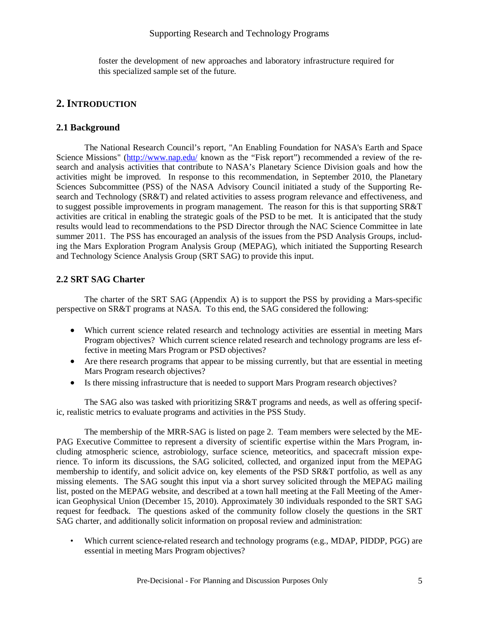foster the development of new approaches and laboratory infrastructure required for this specialized sample set of the future.

# **2. INTRODUCTION**

#### **2.1 Background**

 The National Research Council's report, "An Enabling Foundation for NASA's Earth and Space Science Missions" (http://www.nap.edu/ known as the "Fisk report") recommended a review of the research and analysis activities that contribute to NASA's Planetary Science Division goals and how the activities might be improved. In response to this recommendation, in September 2010, the Planetary Sciences Subcommittee (PSS) of the NASA Advisory Council initiated a study of the Supporting Research and Technology (SR&T) and related activities to assess program relevance and effectiveness, and to suggest possible improvements in program management. The reason for this is that supporting SR&T activities are critical in enabling the strategic goals of the PSD to be met. It is anticipated that the study results would lead to recommendations to the PSD Director through the NAC Science Committee in late summer 2011. The PSS has encouraged an analysis of the issues from the PSD Analysis Groups, including the Mars Exploration Program Analysis Group (MEPAG), which initiated the Supporting Research and Technology Science Analysis Group (SRT SAG) to provide this input.

# **2.2 SRT SAG Charter**

 The charter of the SRT SAG (Appendix A) is to support the PSS by providing a Mars-specific perspective on SR&T programs at NASA. To this end, the SAG considered the following:

- Which current science related research and technology activities are essential in meeting Mars Program objectives? Which current science related research and technology programs are less effective in meeting Mars Program or PSD objectives?
- Are there research programs that appear to be missing currently, but that are essential in meeting Mars Program research objectives?
- Is there missing infrastructure that is needed to support Mars Program research objectives?

 The SAG also was tasked with prioritizing SR&T programs and needs, as well as offering specific, realistic metrics to evaluate programs and activities in the PSS Study.

 The membership of the MRR-SAG is listed on page 2. Team members were selected by the ME-PAG Executive Committee to represent a diversity of scientific expertise within the Mars Program, including atmospheric science, astrobiology, surface science, meteoritics, and spacecraft mission experience. To inform its discussions, the SAG solicited, collected, and organized input from the MEPAG membership to identify, and solicit advice on, key elements of the PSD SR&T portfolio, as well as any missing elements. The SAG sought this input via a short survey solicited through the MEPAG mailing list, posted on the MEPAG website, and described at a town hall meeting at the Fall Meeting of the American Geophysical Union (December 15, 2010). Approximately 30 individuals responded to the SRT SAG request for feedback. The questions asked of the community follow closely the questions in the SRT SAG charter, and additionally solicit information on proposal review and administration:

Which current science-related research and technology programs (e.g., MDAP, PIDDP, PGG) are essential in meeting Mars Program objectives?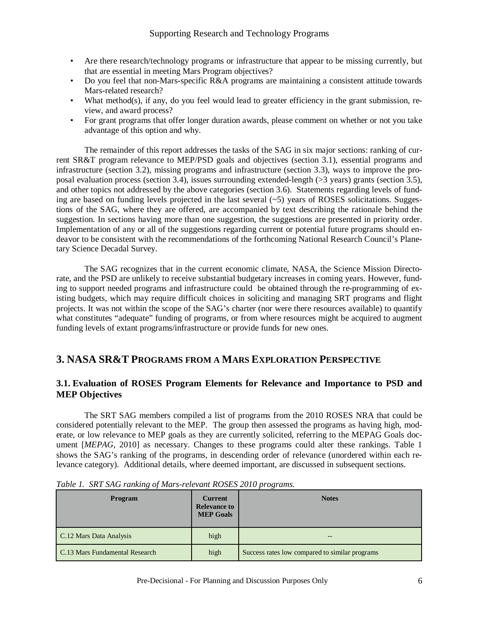- Are there research/technology programs or infrastructure that appear to be missing currently, but that are essential in meeting Mars Program objectives?
- Do you feel that non-Mars-specific R&A programs are maintaining a consistent attitude towards Mars-related research?
- What method(s), if any, do you feel would lead to greater efficiency in the grant submission, review, and award process?
- For grant programs that offer longer duration awards, please comment on whether or not you take advantage of this option and why.

 The remainder of this report addresses the tasks of the SAG in six major sections: ranking of current SR&T program relevance to MEP/PSD goals and objectives (section 3.1), essential programs and infrastructure (section 3.2), missing programs and infrastructure (section 3.3), ways to improve the proposal evaluation process (section 3.4), issues surrounding extended-length (>3 years) grants (section 3.5), and other topics not addressed by the above categories (section 3.6). Statements regarding levels of funding are based on funding levels projected in the last several  $(-5)$  years of ROSES solicitations. Suggestions of the SAG, where they are offered, are accompanied by text describing the rationale behind the suggestion. In sections having more than one suggestion, the suggestions are presented in priority order. Implementation of any or all of the suggestions regarding current or potential future programs should endeavor to be consistent with the recommendations of the forthcoming National Research Council's Planetary Science Decadal Survey.

 The SAG recognizes that in the current economic climate, NASA, the Science Mission Directorate, and the PSD are unlikely to receive substantial budgetary increases in coming years. However, funding to support needed programs and infrastructure could be obtained through the re-programming of existing budgets, which may require difficult choices in soliciting and managing SRT programs and flight projects. It was not within the scope of the SAG's charter (nor were there resources available) to quantify what constitutes "adequate" funding of programs, or from where resources might be acquired to augment funding levels of extant programs/infrastructure or provide funds for new ones.

# **3. NASA SR&T PROGRAMS FROM A MARS EXPLORATION PERSPECTIVE**

# **3.1. Evaluation of ROSES Program Elements for Relevance and Importance to PSD and MEP Objectives**

 The SRT SAG members compiled a list of programs from the 2010 ROSES NRA that could be considered potentially relevant to the MEP. The group then assessed the programs as having high, moderate, or low relevance to MEP goals as they are currently solicited, referring to the MEPAG Goals document [*MEPAG*, 2010] as necessary. Changes to these programs could alter these rankings. Table 1 shows the SAG's ranking of the programs, in descending order of relevance (unordered within each relevance category). Additional details, where deemed important, are discussed in subsequent sections.

| <b>Program</b>                 | <b>Current</b><br><b>Relevance to</b><br><b>MEP Goals</b> | <b>Notes</b>                                   |
|--------------------------------|-----------------------------------------------------------|------------------------------------------------|
| C.12 Mars Data Analysis        | high                                                      |                                                |
| C.13 Mars Fundamental Research | high                                                      | Success rates low compared to similar programs |

|  |  | Table 1. SRT SAG ranking of Mars-relevant ROSES 2010 programs. |
|--|--|----------------------------------------------------------------|
|  |  |                                                                |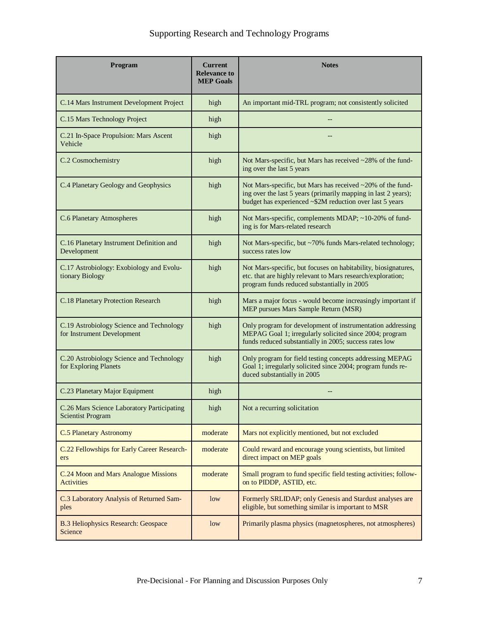| Program                                                                | <b>Current</b><br><b>Relevance to</b><br><b>MEP Goals</b> | <b>Notes</b>                                                                                                                                                                             |  |
|------------------------------------------------------------------------|-----------------------------------------------------------|------------------------------------------------------------------------------------------------------------------------------------------------------------------------------------------|--|
| C.14 Mars Instrument Development Project                               | high                                                      | An important mid-TRL program; not consistently solicited                                                                                                                                 |  |
| C.15 Mars Technology Project                                           | high                                                      |                                                                                                                                                                                          |  |
| C.21 In-Space Propulsion: Mars Ascent<br>Vehicle                       | high                                                      |                                                                                                                                                                                          |  |
| C.2 Cosmochemistry                                                     | high                                                      | Not Mars-specific, but Mars has received ~28% of the fund-<br>ing over the last 5 years                                                                                                  |  |
| C.4 Planetary Geology and Geophysics                                   | high                                                      | Not Mars-specific, but Mars has received ~20% of the fund-<br>ing over the last 5 years (primarily mapping in last 2 years);<br>budget has experienced ~\$2M reduction over last 5 years |  |
| <b>C.6 Planetary Atmospheres</b>                                       | high                                                      | Not Mars-specific, complements MDAP; ~10-20% of fund-<br>ing is for Mars-related research                                                                                                |  |
| C.16 Planetary Instrument Definition and<br>Development                | high                                                      | Not Mars-specific, but ~70% funds Mars-related technology;<br>success rates low                                                                                                          |  |
| C.17 Astrobiology: Exobiology and Evolu-<br>tionary Biology            | high                                                      | Not Mars-specific, but focuses on habitability, biosignatures,<br>etc. that are highly relevant to Mars research/exploration;<br>program funds reduced substantially in 2005             |  |
| C.18 Planetary Protection Research                                     | high                                                      | Mars a major focus - would become increasingly important if<br>MEP pursues Mars Sample Return (MSR)                                                                                      |  |
| C.19 Astrobiology Science and Technology<br>for Instrument Development | high                                                      | Only program for development of instrumentation addressing<br>MEPAG Goal 1; irregularly solicited since 2004; program<br>funds reduced substantially in 2005; success rates low          |  |
| C.20 Astrobiology Science and Technology<br>for Exploring Planets      | high                                                      | Only program for field testing concepts addressing MEPAG<br>Goal 1; irregularly solicited since 2004; program funds re-<br>duced substantially in 2005                                   |  |
| C.23 Planetary Major Equipment                                         | high                                                      |                                                                                                                                                                                          |  |
| C.26 Mars Science Laboratory Participating<br><b>Scientist Program</b> | high                                                      | Not a recurring solicitation                                                                                                                                                             |  |
| <b>C.5 Planetary Astronomy</b>                                         | moderate                                                  | Mars not explicitly mentioned, but not excluded                                                                                                                                          |  |
| C.22 Fellowships for Early Career Research-<br>ers                     | moderate                                                  | Could reward and encourage young scientists, but limited<br>direct impact on MEP goals                                                                                                   |  |
| C.24 Moon and Mars Analogue Missions<br><b>Activities</b>              | moderate                                                  | Small program to fund specific field testing activities; follow-<br>on to PIDDP, ASTID, etc.                                                                                             |  |
| C.3 Laboratory Analysis of Returned Sam-<br>ples                       | low                                                       | Formerly SRLIDAP; only Genesis and Stardust analyses are<br>eligible, but something similar is important to MSR                                                                          |  |
| <b>B.3 Heliophysics Research: Geospace</b><br>Science                  | low                                                       | Primarily plasma physics (magnetospheres, not atmospheres)                                                                                                                               |  |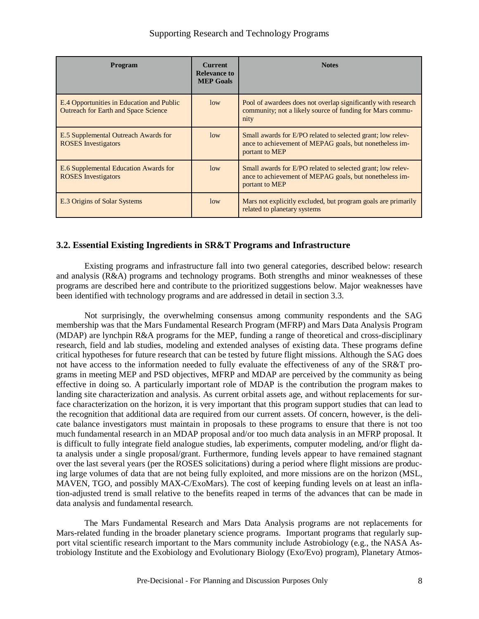| <b>Program</b>                                                                           | <b>Current</b><br><b>Relevance to</b><br><b>MEP Goals</b> | <b>Notes</b>                                                                                                                             |
|------------------------------------------------------------------------------------------|-----------------------------------------------------------|------------------------------------------------------------------------------------------------------------------------------------------|
| E.4 Opportunities in Education and Public<br><b>Outreach for Earth and Space Science</b> | low                                                       | Pool of awardees does not overlap significantly with research<br>community; not a likely source of funding for Mars commu-<br>nity       |
| E.5 Supplemental Outreach Awards for<br><b>ROSES</b> Investigators                       | low                                                       | Small awards for E/PO related to selected grant; low relev-<br>ance to achievement of MEPAG goals, but nonetheless im-<br>portant to MEP |
| E.6 Supplemental Education Awards for<br><b>ROSES</b> Investigators                      | low                                                       | Small awards for E/PO related to selected grant; low relev-<br>ance to achievement of MEPAG goals, but nonetheless im-<br>portant to MEP |
| E.3 Origins of Solar Systems                                                             | low                                                       | Mars not explicitly excluded, but program goals are primarily<br>related to planetary systems                                            |

# **3.2. Essential Existing Ingredients in SR&T Programs and Infrastructure**

 Existing programs and infrastructure fall into two general categories, described below: research and analysis (R&A) programs and technology programs. Both strengths and minor weaknesses of these programs are described here and contribute to the prioritized suggestions below. Major weaknesses have been identified with technology programs and are addressed in detail in section 3.3.

 Not surprisingly, the overwhelming consensus among community respondents and the SAG membership was that the Mars Fundamental Research Program (MFRP) and Mars Data Analysis Program (MDAP) are lynchpin R&A programs for the MEP, funding a range of theoretical and cross-disciplinary research, field and lab studies, modeling and extended analyses of existing data. These programs define critical hypotheses for future research that can be tested by future flight missions. Although the SAG does not have access to the information needed to fully evaluate the effectiveness of any of the SR&T programs in meeting MEP and PSD objectives, MFRP and MDAP are perceived by the community as being effective in doing so. A particularly important role of MDAP is the contribution the program makes to landing site characterization and analysis. As current orbital assets age, and without replacements for surface characterization on the horizon, it is very important that this program support studies that can lead to the recognition that additional data are required from our current assets. Of concern, however, is the delicate balance investigators must maintain in proposals to these programs to ensure that there is not too much fundamental research in an MDAP proposal and/or too much data analysis in an MFRP proposal. It is difficult to fully integrate field analogue studies, lab experiments, computer modeling, and/or flight data analysis under a single proposal/grant. Furthermore, funding levels appear to have remained stagnant over the last several years (per the ROSES solicitations) during a period where flight missions are producing large volumes of data that are not being fully exploited, and more missions are on the horizon (MSL, MAVEN, TGO, and possibly MAX-C/ExoMars). The cost of keeping funding levels on at least an inflation-adjusted trend is small relative to the benefits reaped in terms of the advances that can be made in data analysis and fundamental research.

 The Mars Fundamental Research and Mars Data Analysis programs are not replacements for Mars-related funding in the broader planetary science programs. Important programs that regularly support vital scientific research important to the Mars community include Astrobiology (e.g., the NASA Astrobiology Institute and the Exobiology and Evolutionary Biology (Exo/Evo) program), Planetary Atmos-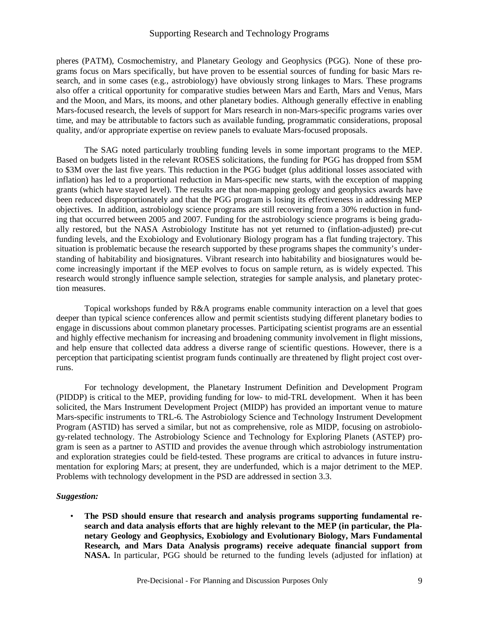pheres (PATM), Cosmochemistry, and Planetary Geology and Geophysics (PGG). None of these programs focus on Mars specifically, but have proven to be essential sources of funding for basic Mars research, and in some cases (e.g., astrobiology) have obviously strong linkages to Mars. These programs also offer a critical opportunity for comparative studies between Mars and Earth, Mars and Venus, Mars and the Moon, and Mars, its moons, and other planetary bodies. Although generally effective in enabling Mars-focused research, the levels of support for Mars research in non-Mars-specific programs varies over time, and may be attributable to factors such as available funding, programmatic considerations, proposal quality, and/or appropriate expertise on review panels to evaluate Mars-focused proposals.

 The SAG noted particularly troubling funding levels in some important programs to the MEP. Based on budgets listed in the relevant ROSES solicitations, the funding for PGG has dropped from \$5M to \$3M over the last five years. This reduction in the PGG budget (plus additional losses associated with inflation) has led to a proportional reduction in Mars-specific new starts, with the exception of mapping grants (which have stayed level). The results are that non-mapping geology and geophysics awards have been reduced disproportionately and that the PGG program is losing its effectiveness in addressing MEP objectives. In addition, astrobiology science programs are still recovering from a 30% reduction in funding that occurred between 2005 and 2007. Funding for the astrobiology science programs is being gradually restored, but the NASA Astrobiology Institute has not yet returned to (inflation-adjusted) pre-cut funding levels, and the Exobiology and Evolutionary Biology program has a flat funding trajectory. This situation is problematic because the research supported by these programs shapes the community's understanding of habitability and biosignatures. Vibrant research into habitability and biosignatures would become increasingly important if the MEP evolves to focus on sample return, as is widely expected. This research would strongly influence sample selection, strategies for sample analysis, and planetary protection measures.

 Topical workshops funded by R&A programs enable community interaction on a level that goes deeper than typical science conferences allow and permit scientists studying different planetary bodies to engage in discussions about common planetary processes. Participating scientist programs are an essential and highly effective mechanism for increasing and broadening community involvement in flight missions, and help ensure that collected data address a diverse range of scientific questions. However, there is a perception that participating scientist program funds continually are threatened by flight project cost overruns.

 For technology development, the Planetary Instrument Definition and Development Program (PIDDP) is critical to the MEP, providing funding for low- to mid-TRL development. When it has been solicited, the Mars Instrument Development Project (MIDP) has provided an important venue to mature Mars-specific instruments to TRL-6. The Astrobiology Science and Technology Instrument Development Program (ASTID) has served a similar, but not as comprehensive, role as MIDP, focusing on astrobiology-related technology. The Astrobiology Science and Technology for Exploring Planets (ASTEP) program is seen as a partner to ASTID and provides the avenue through which astrobiology instrumentation and exploration strategies could be field-tested. These programs are critical to advances in future instrumentation for exploring Mars; at present, they are underfunded, which is a major detriment to the MEP. Problems with technology development in the PSD are addressed in section 3.3.

#### *Suggestion:*

• **The PSD should ensure that research and analysis programs supporting fundamental research and data analysis efforts that are highly relevant to the MEP (in particular, the Planetary Geology and Geophysics, Exobiology and Evolutionary Biology, Mars Fundamental Research, and Mars Data Analysis programs) receive adequate financial support from NASA.** In particular, PGG should be returned to the funding levels (adjusted for inflation) at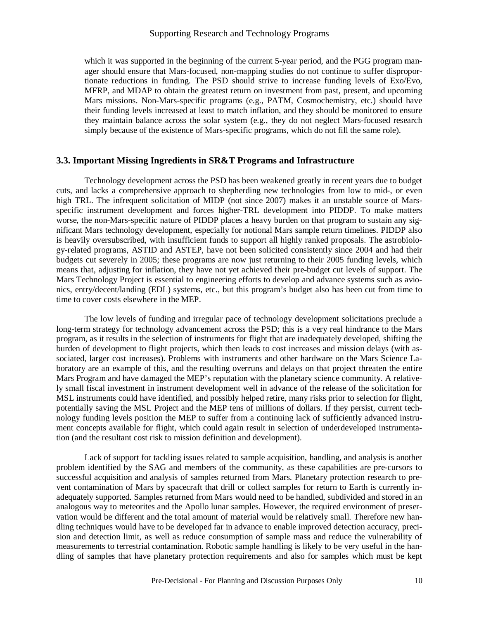which it was supported in the beginning of the current 5-year period, and the PGG program manager should ensure that Mars-focused, non-mapping studies do not continue to suffer disproportionate reductions in funding. The PSD should strive to increase funding levels of Exo/Evo, MFRP, and MDAP to obtain the greatest return on investment from past, present, and upcoming Mars missions. Non-Mars-specific programs (e.g., PATM, Cosmochemistry, etc.) should have their funding levels increased at least to match inflation, and they should be monitored to ensure they maintain balance across the solar system (e.g., they do not neglect Mars-focused research simply because of the existence of Mars-specific programs, which do not fill the same role).

#### **3.3. Important Missing Ingredients in SR&T Programs and Infrastructure**

 Technology development across the PSD has been weakened greatly in recent years due to budget cuts, and lacks a comprehensive approach to shepherding new technologies from low to mid-, or even high TRL. The infrequent solicitation of MIDP (not since 2007) makes it an unstable source of Marsspecific instrument development and forces higher-TRL development into PIDDP. To make matters worse, the non-Mars-specific nature of PIDDP places a heavy burden on that program to sustain any significant Mars technology development, especially for notional Mars sample return timelines. PIDDP also is heavily oversubscribed, with insufficient funds to support all highly ranked proposals. The astrobiology-related programs, ASTID and ASTEP, have not been solicited consistently since 2004 and had their budgets cut severely in 2005; these programs are now just returning to their 2005 funding levels, which means that, adjusting for inflation, they have not yet achieved their pre-budget cut levels of support. The Mars Technology Project is essential to engineering efforts to develop and advance systems such as avionics, entry/decent/landing (EDL) systems, etc., but this program's budget also has been cut from time to time to cover costs elsewhere in the MEP.

 The low levels of funding and irregular pace of technology development solicitations preclude a long-term strategy for technology advancement across the PSD; this is a very real hindrance to the Mars program, as it results in the selection of instruments for flight that are inadequately developed, shifting the burden of development to flight projects, which then leads to cost increases and mission delays (with associated, larger cost increases). Problems with instruments and other hardware on the Mars Science Laboratory are an example of this, and the resulting overruns and delays on that project threaten the entire Mars Program and have damaged the MEP's reputation with the planetary science community. A relatively small fiscal investment in instrument development well in advance of the release of the solicitation for MSL instruments could have identified, and possibly helped retire, many risks prior to selection for flight, potentially saving the MSL Project and the MEP tens of millions of dollars. If they persist, current technology funding levels position the MEP to suffer from a continuing lack of sufficiently advanced instrument concepts available for flight, which could again result in selection of underdeveloped instrumentation (and the resultant cost risk to mission definition and development).

 Lack of support for tackling issues related to sample acquisition, handling, and analysis is another problem identified by the SAG and members of the community, as these capabilities are pre-cursors to successful acquisition and analysis of samples returned from Mars. Planetary protection research to prevent contamination of Mars by spacecraft that drill or collect samples for return to Earth is currently inadequately supported. Samples returned from Mars would need to be handled, subdivided and stored in an analogous way to meteorites and the Apollo lunar samples. However, the required environment of preservation would be different and the total amount of material would be relatively small. Therefore new handling techniques would have to be developed far in advance to enable improved detection accuracy, precision and detection limit, as well as reduce consumption of sample mass and reduce the vulnerability of measurements to terrestrial contamination. Robotic sample handling is likely to be very useful in the handling of samples that have planetary protection requirements and also for samples which must be kept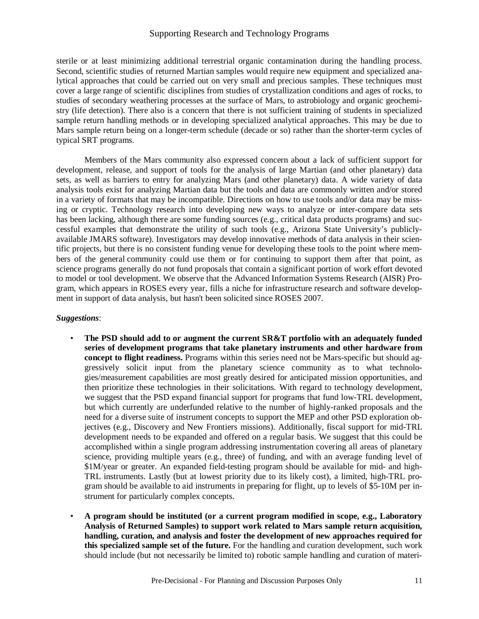sterile or at least minimizing additional terrestrial organic contamination during the handling process. Second, scientific studies of returned Martian samples would require new equipment and specialized analytical approaches that could be carried out on very small and precious samples. These techniques must cover a large range of scientific disciplines from studies of crystallization conditions and ages of rocks, to studies of secondary weathering processes at the surface of Mars, to astrobiology and organic geochemistry (life detection). There also is a concern that there is not sufficient training of students in specialized sample return handling methods or in developing specialized analytical approaches. This may be due to Mars sample return being on a longer-term schedule (decade or so) rather than the shorter-term cycles of typical SRT programs.

 Members of the Mars community also expressed concern about a lack of sufficient support for development, release, and support of tools for the analysis of large Martian (and other planetary) data sets, as well as barriers to entry for analyzing Mars (and other planetary) data. A wide variety of data analysis tools exist for analyzing Martian data but the tools and data are commonly written and/or stored in a variety of formats that may be incompatible. Directions on how to use tools and/or data may be missing or cryptic. Technology research into developing new ways to analyze or inter-compare data sets has been lacking, although there are some funding sources (e.g., critical data products programs) and successful examples that demonstrate the utility of such tools (e.g., Arizona State University's publiclyavailable JMARS software). Investigators may develop innovative methods of data analysis in their scientific projects, but there is no consistent funding venue for developing these tools to the point where members of the general community could use them or for continuing to support them after that point, as science programs generally do not fund proposals that contain a significant portion of work effort devoted to model or tool development. We observe that the Advanced Information Systems Research (AISR) Program, which appears in ROSES every year, fills a niche for infrastructure research and software development in support of data analysis, but hasn't been solicited since ROSES 2007.

#### *Suggestions*:

- **The PSD should add to or augment the current SR&T portfolio with an adequately funded series of development programs that take planetary instruments and other hardware from concept to flight readiness.** Programs within this series need not be Mars-specific but should aggressively solicit input from the planetary science community as to what technologies/measurement capabilities are most greatly desired for anticipated mission opportunities, and then prioritize these technologies in their solicitations*.* With regard to technology development, we suggest that the PSD expand financial support for programs that fund low-TRL development, but which currently are underfunded relative to the number of highly-ranked proposals and the need for a diverse suite of instrument concepts to support the MEP and other PSD exploration objectives (e.g., Discovery and New Frontiers missions). Additionally, fiscal support for mid-TRL development needs to be expanded and offered on a regular basis. We suggest that this could be accomplished within a single program addressing instrumentation covering all areas of planetary science, providing multiple years (e.g., three) of funding, and with an average funding level of \$1M/year or greater. An expanded field-testing program should be available for mid- and high-TRL instruments. Lastly (but at lowest priority due to its likely cost), a limited, high-TRL program should be available to aid instruments in preparing for flight, up to levels of \$5-10M per instrument for particularly complex concepts.
- **A program should be instituted (or a current program modified in scope, e.g., Laboratory Analysis of Returned Samples) to support work related to Mars sample return acquisition, handling, curation, and analysis and foster the development of new approaches required for this specialized sample set of the future.** For the handling and curation development, such work should include (but not necessarily be limited to) robotic sample handling and curation of materi-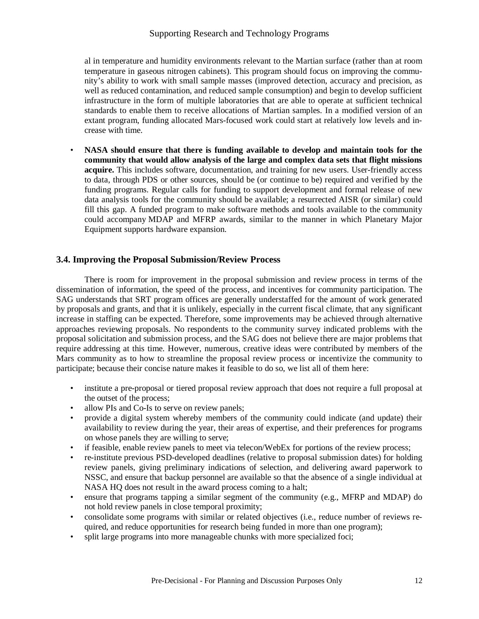al in temperature and humidity environments relevant to the Martian surface (rather than at room temperature in gaseous nitrogen cabinets). This program should focus on improving the community's ability to work with small sample masses (improved detection, accuracy and precision, as well as reduced contamination, and reduced sample consumption) and begin to develop sufficient infrastructure in the form of multiple laboratories that are able to operate at sufficient technical standards to enable them to receive allocations of Martian samples. In a modified version of an extant program, funding allocated Mars-focused work could start at relatively low levels and increase with time.

• **NASA should ensure that there is funding available to develop and maintain tools for the community that would allow analysis of the large and complex data sets that flight missions acquire.** This includes software, documentation, and training for new users. User-friendly access to data, through PDS or other sources, should be (or continue to be) required and verified by the funding programs. Regular calls for funding to support development and formal release of new data analysis tools for the community should be available; a resurrected AISR (or similar) could fill this gap. A funded program to make software methods and tools available to the community could accompany MDAP and MFRP awards, similar to the manner in which Planetary Major Equipment supports hardware expansion.

# **3.4. Improving the Proposal Submission/Review Process**

 There is room for improvement in the proposal submission and review process in terms of the dissemination of information, the speed of the process, and incentives for community participation. The SAG understands that SRT program offices are generally understaffed for the amount of work generated by proposals and grants, and that it is unlikely, especially in the current fiscal climate, that any significant increase in staffing can be expected. Therefore, some improvements may be achieved through alternative approaches reviewing proposals. No respondents to the community survey indicated problems with the proposal solicitation and submission process, and the SAG does not believe there are major problems that require addressing at this time. However, numerous, creative ideas were contributed by members of the Mars community as to how to streamline the proposal review process or incentivize the community to participate; because their concise nature makes it feasible to do so, we list all of them here:

- institute a pre-proposal or tiered proposal review approach that does not require a full proposal at the outset of the process;
- allow PIs and Co-Is to serve on review panels;
- provide a digital system whereby members of the community could indicate (and update) their availability to review during the year, their areas of expertise, and their preferences for programs on whose panels they are willing to serve;
- if feasible, enable review panels to meet via telecon/WebEx for portions of the review process;
- re-institute previous PSD-developed deadlines (relative to proposal submission dates) for holding review panels, giving preliminary indications of selection, and delivering award paperwork to NSSC, and ensure that backup personnel are available so that the absence of a single individual at NASA HO does not result in the award process coming to a halt:
- ensure that programs tapping a similar segment of the community (e.g., MFRP and MDAP) do not hold review panels in close temporal proximity;
- consolidate some programs with similar or related objectives (i.e., reduce number of reviews required, and reduce opportunities for research being funded in more than one program);
- split large programs into more manageable chunks with more specialized foci;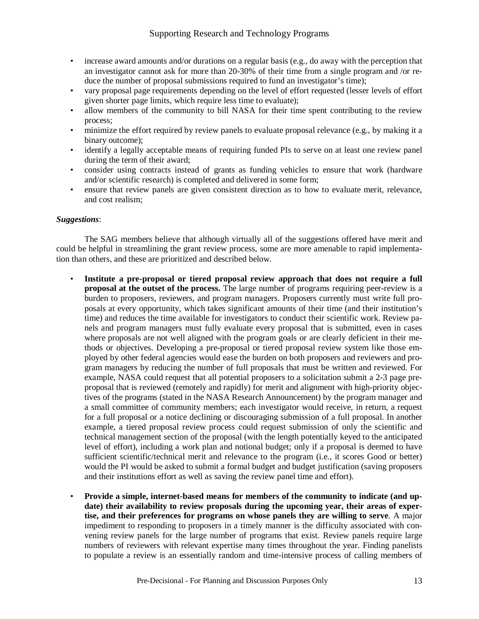- increase award amounts and/or durations on a regular basis (e.g., do away with the perception that an investigator cannot ask for more than 20-30% of their time from a single program and /or reduce the number of proposal submissions required to fund an investigator's time);
- vary proposal page requirements depending on the level of effort requested (lesser levels of effort given shorter page limits, which require less time to evaluate);
- allow members of the community to bill NASA for their time spent contributing to the review process;
- minimize the effort required by review panels to evaluate proposal relevance (e.g., by making it a binary outcome);
- identify a legally acceptable means of requiring funded PIs to serve on at least one review panel during the term of their award;
- consider using contracts instead of grants as funding vehicles to ensure that work (hardware and/or scientific research) is completed and delivered in some form;
- ensure that review panels are given consistent direction as to how to evaluate merit, relevance, and cost realism;

#### *Suggestions*:

 The SAG members believe that although virtually all of the suggestions offered have merit and could be helpful in streamlining the grant review process, some are more amenable to rapid implementation than others, and these are prioritized and described below.

- **Institute a pre-proposal or tiered proposal review approach that does not require a full proposal at the outset of the process.** The large number of programs requiring peer-review is a burden to proposers, reviewers, and program managers. Proposers currently must write full proposals at every opportunity, which takes significant amounts of their time (and their institution's time) and reduces the time available for investigators to conduct their scientific work. Review panels and program managers must fully evaluate every proposal that is submitted, even in cases where proposals are not well aligned with the program goals or are clearly deficient in their methods or objectives. Developing a pre-proposal or tiered proposal review system like those employed by other federal agencies would ease the burden on both proposers and reviewers and program managers by reducing the number of full proposals that must be written and reviewed. For example, NASA could request that all potential proposers to a solicitation submit a 2-3 page preproposal that is reviewed (remotely and rapidly) for merit and alignment with high-priority objectives of the programs (stated in the NASA Research Announcement) by the program manager and a small committee of community members; each investigator would receive, in return, a request for a full proposal or a notice declining or discouraging submission of a full proposal. In another example, a tiered proposal review process could request submission of only the scientific and technical management section of the proposal (with the length potentially keyed to the anticipated level of effort), including a work plan and notional budget; only if a proposal is deemed to have sufficient scientific/technical merit and relevance to the program (i.e., it scores Good or better) would the PI would be asked to submit a formal budget and budget justification (saving proposers and their institutions effort as well as saving the review panel time and effort).
- **Provide a simple, internet-based means for members of the community to indicate (and update) their availability to review proposals during the upcoming year, their areas of expertise, and their preferences for programs on whose panels they are willing to serve**. A major impediment to responding to proposers in a timely manner is the difficulty associated with convening review panels for the large number of programs that exist. Review panels require large numbers of reviewers with relevant expertise many times throughout the year. Finding panelists to populate a review is an essentially random and time-intensive process of calling members of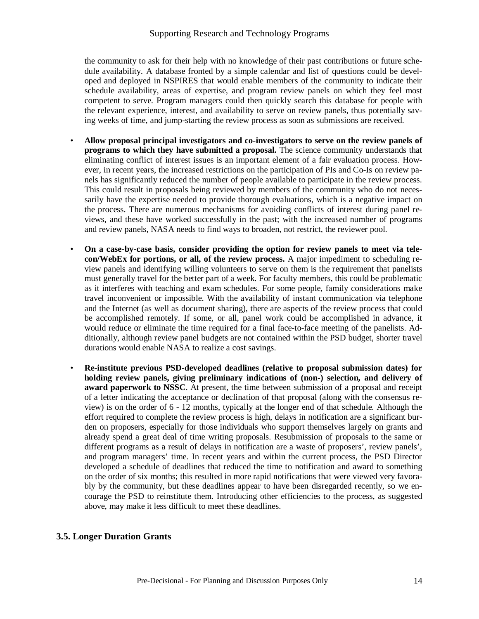the community to ask for their help with no knowledge of their past contributions or future schedule availability. A database fronted by a simple calendar and list of questions could be developed and deployed in NSPIRES that would enable members of the community to indicate their schedule availability, areas of expertise, and program review panels on which they feel most competent to serve. Program managers could then quickly search this database for people with the relevant experience, interest, and availability to serve on review panels, thus potentially saving weeks of time, and jump-starting the review process as soon as submissions are received.

- **Allow proposal principal investigators and co-investigators to serve on the review panels of programs to which they have submitted a proposal.** The science community understands that eliminating conflict of interest issues is an important element of a fair evaluation process. However, in recent years, the increased restrictions on the participation of PIs and Co-Is on review panels has significantly reduced the number of people available to participate in the review process. This could result in proposals being reviewed by members of the community who do not necessarily have the expertise needed to provide thorough evaluations, which is a negative impact on the process. There are numerous mechanisms for avoiding conflicts of interest during panel reviews, and these have worked successfully in the past; with the increased number of programs and review panels, NASA needs to find ways to broaden, not restrict, the reviewer pool.
- **On a case-by-case basis, consider providing the option for review panels to meet via telecon/WebEx for portions, or all, of the review process.** A major impediment to scheduling review panels and identifying willing volunteers to serve on them is the requirement that panelists must generally travel for the better part of a week. For faculty members, this could be problematic as it interferes with teaching and exam schedules. For some people, family considerations make travel inconvenient or impossible. With the availability of instant communication via telephone and the Internet (as well as document sharing), there are aspects of the review process that could be accomplished remotely. If some, or all, panel work could be accomplished in advance, it would reduce or eliminate the time required for a final face-to-face meeting of the panelists. Additionally, although review panel budgets are not contained within the PSD budget, shorter travel durations would enable NASA to realize a cost savings.
- **Re-institute previous PSD-developed deadlines (relative to proposal submission dates) for holding review panels, giving preliminary indications of (non-) selection, and delivery of award paperwork to NSSC**. At present, the time between submission of a proposal and receipt of a letter indicating the acceptance or declination of that proposal (along with the consensus review) is on the order of 6 - 12 months, typically at the longer end of that schedule. Although the effort required to complete the review process is high, delays in notification are a significant burden on proposers, especially for those individuals who support themselves largely on grants and already spend a great deal of time writing proposals. Resubmission of proposals to the same or different programs as a result of delays in notification are a waste of proposers', review panels', and program managers' time. In recent years and within the current process, the PSD Director developed a schedule of deadlines that reduced the time to notification and award to something on the order of six months; this resulted in more rapid notifications that were viewed very favorably by the community, but these deadlines appear to have been disregarded recently, so we encourage the PSD to reinstitute them. Introducing other efficiencies to the process, as suggested above, may make it less difficult to meet these deadlines.

# **3.5. Longer Duration Grants**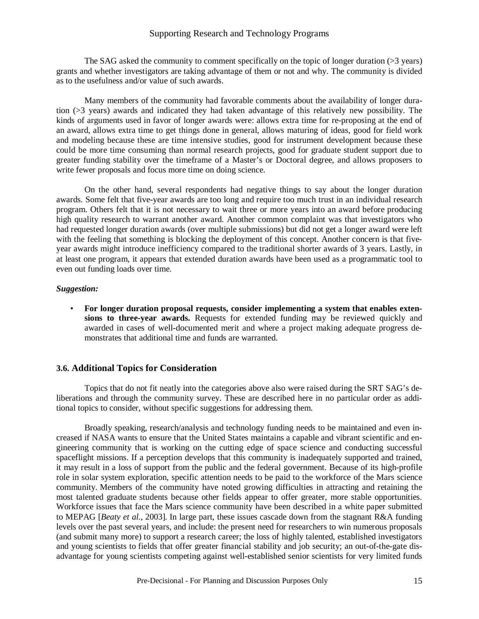The SAG asked the community to comment specifically on the topic of longer duration (>3 years) grants and whether investigators are taking advantage of them or not and why. The community is divided as to the usefulness and/or value of such awards.

 Many members of the community had favorable comments about the availability of longer duration (>3 years) awards and indicated they had taken advantage of this relatively new possibility. The kinds of arguments used in favor of longer awards were: allows extra time for re-proposing at the end of an award, allows extra time to get things done in general, allows maturing of ideas, good for field work and modeling because these are time intensive studies, good for instrument development because these could be more time consuming than normal research projects, good for graduate student support due to greater funding stability over the timeframe of a Master's or Doctoral degree, and allows proposers to write fewer proposals and focus more time on doing science.

 On the other hand, several respondents had negative things to say about the longer duration awards. Some felt that five-year awards are too long and require too much trust in an individual research program. Others felt that it is not necessary to wait three or more years into an award before producing high quality research to warrant another award. Another common complaint was that investigators who had requested longer duration awards (over multiple submissions) but did not get a longer award were left with the feeling that something is blocking the deployment of this concept. Another concern is that fiveyear awards might introduce inefficiency compared to the traditional shorter awards of 3 years. Lastly, in at least one program, it appears that extended duration awards have been used as a programmatic tool to even out funding loads over time.

#### *Suggestion:*

• **For longer duration proposal requests, consider implementing a system that enables extensions to three-year awards.** Requests for extended funding may be reviewed quickly and awarded in cases of well-documented merit and where a project making adequate progress demonstrates that additional time and funds are warranted.

#### **3.6. Additional Topics for Consideration**

 Topics that do not fit neatly into the categories above also were raised during the SRT SAG's deliberations and through the community survey. These are described here in no particular order as additional topics to consider, without specific suggestions for addressing them.

 Broadly speaking, research/analysis and technology funding needs to be maintained and even increased if NASA wants to ensure that the United States maintains a capable and vibrant scientific and engineering community that is working on the cutting edge of space science and conducting successful spaceflight missions. If a perception develops that this community is inadequately supported and trained, it may result in a loss of support from the public and the federal government. Because of its high-profile role in solar system exploration, specific attention needs to be paid to the workforce of the Mars science community. Members of the community have noted growing difficulties in attracting and retaining the most talented graduate students because other fields appear to offer greater, more stable opportunities. Workforce issues that face the Mars science community have been described in a white paper submitted to MEPAG [*Beaty et al.*, 2003]. In large part, these issues cascade down from the stagnant R&A funding levels over the past several years, and include: the present need for researchers to win numerous proposals (and submit many more) to support a research career; the loss of highly talented, established investigators and young scientists to fields that offer greater financial stability and job security; an out-of-the-gate disadvantage for young scientists competing against well-established senior scientists for very limited funds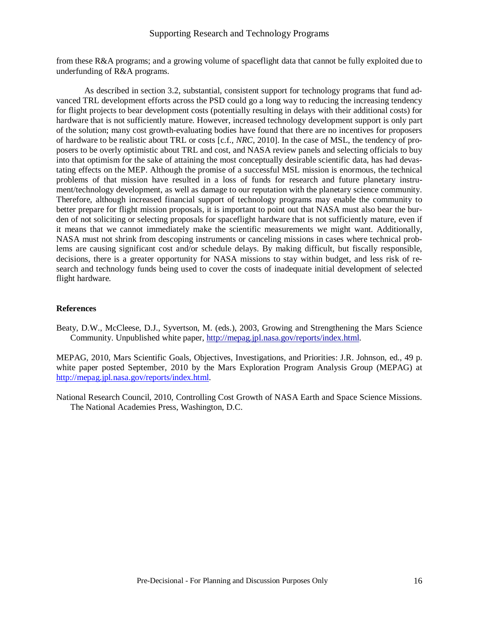from these R&A programs; and a growing volume of spaceflight data that cannot be fully exploited due to underfunding of R&A programs.

 As described in section 3.2, substantial, consistent support for technology programs that fund advanced TRL development efforts across the PSD could go a long way to reducing the increasing tendency for flight projects to bear development costs (potentially resulting in delays with their additional costs) for hardware that is not sufficiently mature. However, increased technology development support is only part of the solution; many cost growth-evaluating bodies have found that there are no incentives for proposers of hardware to be realistic about TRL or costs [c.f., *NRC*, 2010]. In the case of MSL, the tendency of proposers to be overly optimistic about TRL and cost, and NASA review panels and selecting officials to buy into that optimism for the sake of attaining the most conceptually desirable scientific data, has had devastating effects on the MEP. Although the promise of a successful MSL mission is enormous, the technical problems of that mission have resulted in a loss of funds for research and future planetary instrument/technology development, as well as damage to our reputation with the planetary science community. Therefore, although increased financial support of technology programs may enable the community to better prepare for flight mission proposals, it is important to point out that NASA must also bear the burden of not soliciting or selecting proposals for spaceflight hardware that is not sufficiently mature, even if it means that we cannot immediately make the scientific measurements we might want. Additionally, NASA must not shrink from descoping instruments or canceling missions in cases where technical problems are causing significant cost and/or schedule delays. By making difficult, but fiscally responsible, decisions, there is a greater opportunity for NASA missions to stay within budget, and less risk of research and technology funds being used to cover the costs of inadequate initial development of selected flight hardware.

#### **References**

Beaty, D.W., McCleese, D.J., Syvertson, M. (eds.), 2003, Growing and Strengthening the Mars Science Community. Unpublished white paper, http://mepag.jpl.nasa.gov/reports/index.html.

MEPAG, 2010, Mars Scientific Goals, Objectives, Investigations, and Priorities: J.R. Johnson, ed., 49 p. white paper posted September, 2010 by the Mars Exploration Program Analysis Group (MEPAG) at http://mepag.jpl.nasa.gov/reports/index.html.

National Research Council, 2010, Controlling Cost Growth of NASA Earth and Space Science Missions. The National Academies Press, Washington, D.C.